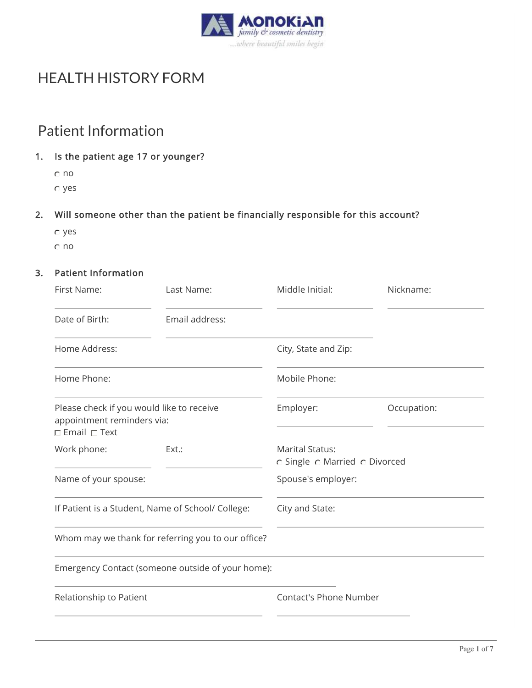

# HEALTH HISTORY FORM

## Patient Information

#### 1. Is the patient age 17 or younger?

no yes

### 2. Will someone other than the patient be financially responsible for this account?

- yes
- no

#### 3. Patient Information

| First Name:                                                                                         | Last Name:                                        | Middle Initial:                                         | Nickname:   |
|-----------------------------------------------------------------------------------------------------|---------------------------------------------------|---------------------------------------------------------|-------------|
| Date of Birth:                                                                                      | Email address:                                    |                                                         |             |
| Home Address:                                                                                       |                                                   | City, State and Zip:                                    |             |
| Home Phone:                                                                                         |                                                   | Mobile Phone:                                           |             |
| Please check if you would like to receive<br>appointment reminders via:<br>$\Box$ Email $\Box$ Text |                                                   | Employer:                                               | Occupation: |
| Work phone:                                                                                         | Ext.:                                             | <b>Marital Status:</b><br>c Single c Married c Divorced |             |
| Name of your spouse:                                                                                |                                                   | Spouse's employer:                                      |             |
| If Patient is a Student, Name of School/ College:                                                   |                                                   | City and State:                                         |             |
| Whom may we thank for referring you to our office?                                                  |                                                   |                                                         |             |
|                                                                                                     | Emergency Contact (someone outside of your home): |                                                         |             |
| Relationship to Patient                                                                             |                                                   | <b>Contact's Phone Number</b>                           |             |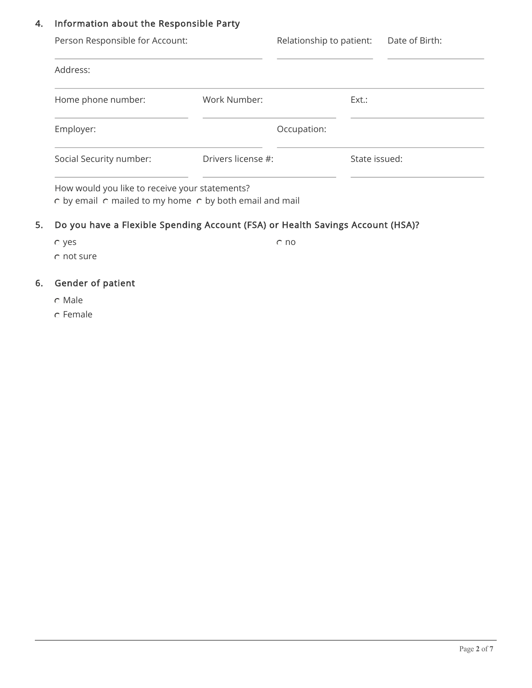#### 4. Information about the Responsible Party

| Person Responsible for Account: |                    | Relationship to patient: |               | Date of Birth: |
|---------------------------------|--------------------|--------------------------|---------------|----------------|
| Address:                        |                    |                          |               |                |
| Home phone number:              | Work Number:       |                          | Ext.:         |                |
| Employer:                       |                    | Occupation:              |               |                |
| Social Security number:         | Drivers license #: |                          | State issued: |                |
|                                 |                    |                          |               |                |

How would you like to receive your statements?  $\circ$  by email  $\circ$  mailed to my home  $\circ$  by both email and mail

## 5. Do you have a Flexible Spending Account (FSA) or Health Savings Account (HSA)?

yes no not sure

## 6. Gender of patient

- Male
- Female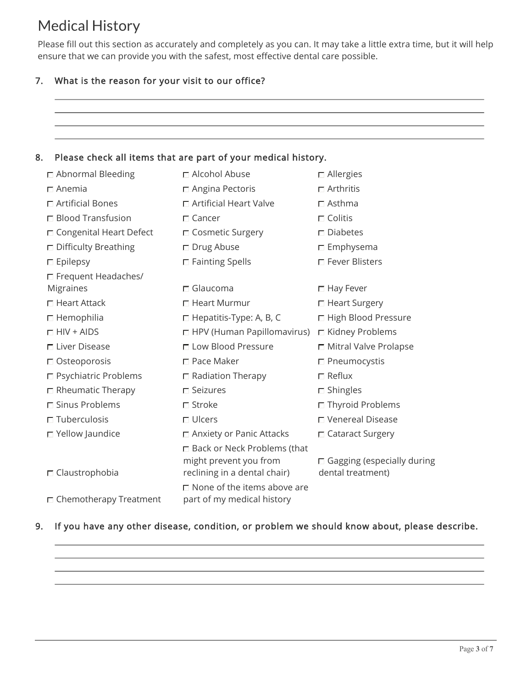# Medical History

Please fill out this section as accurately and completely as you can. It may take a little extra time, but it will help ensure that we can provide you with the safest, most effective dental care possible.

#### 7. What is the reason for your visit to our office?

|                               | Please check all items that are part of your medical history.         |                                   |
|-------------------------------|-----------------------------------------------------------------------|-----------------------------------|
| $\Box$ Abnormal Bleeding      | □ Alcohol Abuse                                                       | $\Box$ Allergies                  |
| $\Box$ Anemia                 | □ Angina Pectoris                                                     | $\Box$ Arthritis                  |
| $\Box$ Artificial Bones       | □ Artificial Heart Valve                                              | $\Box$ Asthma                     |
| $\Box$ Blood Transfusion      | $\Gamma$ Cancer                                                       | $\Box$ Colitis                    |
| □ Congenital Heart Defect     | □ Cosmetic Surgery                                                    | $\square$ Diabetes                |
| □ Difficulty Breathing        | $\Box$ Drug Abuse                                                     | $\square$ Emphysema               |
| $\square$ Epilepsy            | □ Fainting Spells                                                     | □ Fever Blisters                  |
| □ Frequent Headaches/         |                                                                       |                                   |
| Migraines                     | $\Box$ Glaucoma                                                       | $\Box$ Hay Fever                  |
| $\Box$ Heart Attack           | □ Heart Murmur                                                        | □ Heart Surgery                   |
| $\Box$ Hemophilia             | □ Hepatitis-Type: A, B, C                                             | □ High Blood Pressure             |
| $\Box$ HIV + AIDS             | □ HPV (Human Papillomavirus) □ Kidney Problems                        |                                   |
| □ Liver Disease               | □ Low Blood Pressure                                                  | □ Mitral Valve Prolapse           |
| □ Osteoporosis                | $\Box$ Pace Maker                                                     | □ Pneumocystis                    |
| □ Psychiatric Problems        | $\Box$ Radiation Therapy                                              | $\Box$ Reflux                     |
| $\Box$ Rheumatic Therapy      | $\Gamma$ Seizures                                                     | $\square$ Shingles                |
| □ Sinus Problems              | $\Box$ Stroke                                                         | □ Thyroid Problems                |
| $\Box$ Tuberculosis           | $\Box$ Ulcers                                                         | □ Venereal Disease                |
| $\Box$ Yellow Jaundice        | $\Box$ Anxiety or Panic Attacks                                       | □ Cataract Surgery                |
|                               | □ Back or Neck Problems (that<br>might prevent you from               | $\Box$ Gagging (especially during |
| $\Box$ Claustrophobia         | reclining in a dental chair)<br>$\square$ None of the items above are | dental treatment)                 |
| $\Box$ Chemotherapy Treatment | part of my medical history                                            |                                   |

#### 9. If you have any other disease, condition, or problem we should know about, please describe.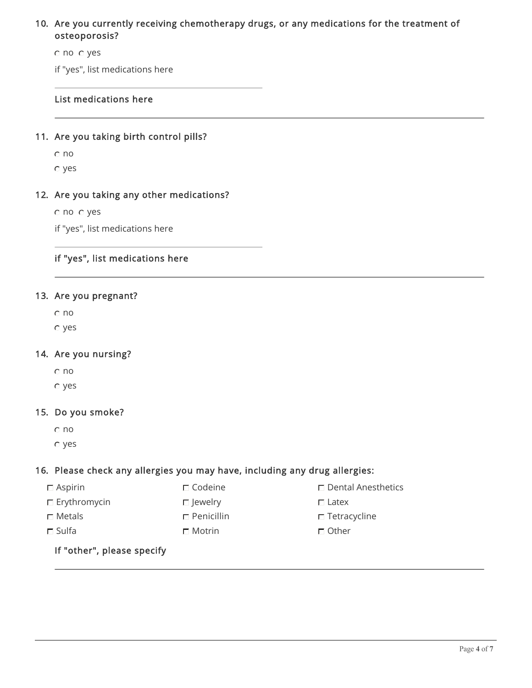#### 10. Are you currently receiving chemotherapy drugs, or any medications for the treatment of osteoporosis?

no yes

if "yes", list medications here

#### List medications here

#### 11. Are you taking birth control pills?

no

yes

#### 12. Are you taking any other medications?

no yes

if "yes", list medications here

#### if "yes", list medications here

#### 13. Are you pregnant?

no

yes

#### 14. Are you nursing?

no

yes

#### 15. Do you smoke?

no

yes

#### 16. Please check any allergies you may have, including any drug allergies:

 $\square$  Aspirin  $\square$  Codeine  $\square$  Dental Anesthetics

- 
- 
- 
- $\square$  Erythromycin  $\square$  Jewelry  $\square$  Latex
- $\square$  Metals  $\square$  Penicillin  $\square$  Tetracycline
- $\square$  Sulfa  $\square$  Motrin  $\square$  Other
	-
- -
	-

If "other", please specify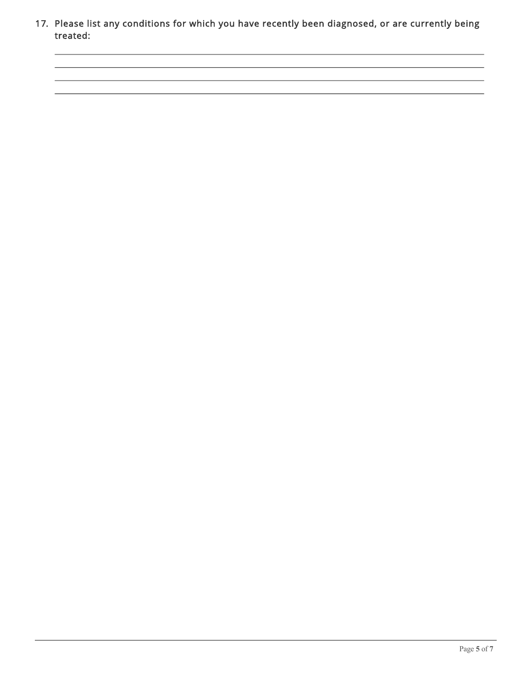17. Please list any conditions for which you have recently been diagnosed, or are currently being treated: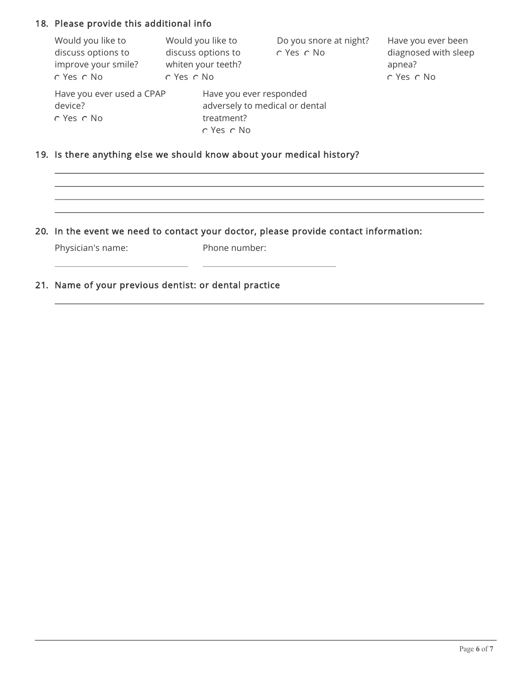#### 18. Please provide this additional info

| Would you like to<br>discuss options to<br>improve your smile?<br>$C$ Yes $C$ No | Would you like to<br>discuss options to<br>whiten your teeth?<br>o Yes o No |                                                                                           | Do you snore at night?<br>C Yes C No | Have you ever been<br>diagnosed with sleep<br>apnea?<br>C Yes C No |
|----------------------------------------------------------------------------------|-----------------------------------------------------------------------------|-------------------------------------------------------------------------------------------|--------------------------------------|--------------------------------------------------------------------|
| Have you ever used a CPAP<br>device?<br>$\circ$ Yes $\circ$ No                   |                                                                             | Have you ever responded<br>adversely to medical or dental<br>treatment?<br>$C$ Yes $C$ No |                                      |                                                                    |

#### 19. Is there anything else we should know about your medical history?

#### 20. In the event we need to contact your doctor, please provide contact information:

Physician's name:

Phone number:

#### 21. Name of your previous dentist: or dental practice